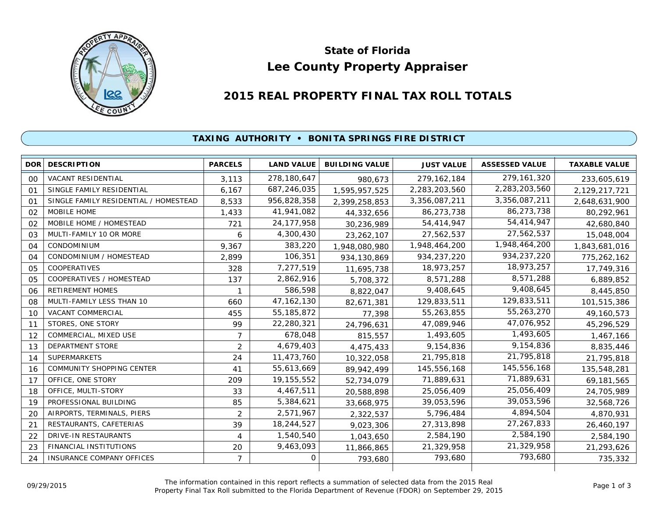

# **Lee County Property Appraiser State of Florida**

# **2015 REAL PROPERTY FINAL TAX ROLL TOTALS**

#### **TAXING AUTHORITY • BONITA SPRINGS FIRE DISTRICT**

| <b>DOR</b>     | <b>DESCRIPTION</b>                    | <b>PARCELS</b> | <b>LAND VALUE</b> | <b>BUILDING VALUE</b> | <b>JUST VALUE</b> | <b>ASSESSED VALUE</b> | <b>TAXABLE VALUE</b> |
|----------------|---------------------------------------|----------------|-------------------|-----------------------|-------------------|-----------------------|----------------------|
| 00             | <b>VACANT RESIDENTIAL</b>             | 3,113          | 278,180,647       | 980,673               | 279, 162, 184     | 279, 161, 320         | 233,605,619          |
| 01             | SINGLE FAMILY RESIDENTIAL             | 6.167          | 687,246,035       | 1,595,957,525         | 2,283,203,560     | 2,283,203,560         | 2,129,217,721        |
| O <sub>1</sub> | SINGLE FAMILY RESIDENTIAL / HOMESTEAD | 8,533          | 956,828,358       | 2,399,258,853         | 3,356,087,211     | 3,356,087,211         | 2,648,631,900        |
| 02             | MOBILE HOME                           | 1,433          | 41,941,082        | 44,332,656            | 86,273,738        | 86,273,738            | 80,292,961           |
| 02             | MOBILE HOME / HOMESTEAD               | 721            | 24, 177, 958      | 30,236,989            | 54,414,947        | 54,414,947            | 42,680,840           |
| 03             | MULTI-FAMILY 10 OR MORE               | 6              | 4,300,430         | 23, 262, 107          | 27,562,537        | 27,562,537            | 15,048,004           |
| 04             | CONDOMINIUM                           | 9,367          | 383,220           | 1,948,080,980         | 1,948,464,200     | 1,948,464,200         | 1,843,681,016        |
| 04             | CONDOMINIUM / HOMESTEAD               | 2,899          | 106,351           | 934,130,869           | 934,237,220       | 934,237,220           | 775,262,162          |
| 05             | <b>COOPERATIVES</b>                   | 328            | 7,277,519         | 11,695,738            | 18,973,257        | 18,973,257            | 17,749,316           |
| 05             | COOPERATIVES / HOMESTEAD              | 137            | 2,862,916         | 5,708,372             | 8,571,288         | 8,571,288             | 6,889,852            |
| 06             | <b>RETIREMENT HOMES</b>               |                | 586,598           | 8,822,047             | 9,408,645         | 9,408,645             | 8,445,850            |
| 08             | MULTI-FAMILY LESS THAN 10             | 660            | 47, 162, 130      | 82,671,381            | 129,833,511       | 129,833,511           | 101,515,386          |
| 10             | VACANT COMMERCIAL                     | 455            | 55, 185, 872      | 77,398                | 55,263,855        | 55,263,270            | 49,160,573           |
| 11             | STORES, ONE STORY                     | 99             | 22,280,321        | 24,796,631            | 47,089,946        | 47,076,952            | 45,296,529           |
| 12             | COMMERCIAL, MIXED USE                 | $\overline{7}$ | 678,048           | 815,557               | 1,493,605         | 1,493,605             | 1,467,166            |
| 13             | <b>DEPARTMENT STORE</b>               | $\overline{2}$ | 4,679,403         | 4,475,433             | 9,154,836         | 9,154,836             | 8,835,446            |
| 14             | <b>SUPERMARKETS</b>                   | 24             | 11,473,760        | 10,322,058            | 21,795,818        | 21,795,818            | 21,795,818           |
| 16             | <b>COMMUNITY SHOPPING CENTER</b>      | 41             | 55,613,669        | 89,942,499            | 145,556,168       | 145,556,168           | 135,548,281          |
| 17             | OFFICE, ONE STORY                     | 209            | 19, 155, 552      | 52,734,079            | 71,889,631        | 71,889,631            | 69,181,565           |
| 18             | OFFICE, MULTI-STORY                   | 33             | 4,467,511         | 20,588,898            | 25,056,409        | 25,056,409            | 24,705,989           |
| 19             | PROFESSIONAL BUILDING                 | 85             | 5,384,621         | 33,668,975            | 39,053,596        | 39,053,596            | 32,568,726           |
| 20             | AIRPORTS, TERMINALS, PIERS            | $\overline{2}$ | 2,571,967         | 2,322,537             | 5,796,484         | 4,894,504             | 4,870,931            |
| 21             | RESTAURANTS, CAFETERIAS               | 39             | 18,244,527        | 9,023,306             | 27,313,898        | 27,267,833            | 26,460,197           |
| 22             | <b>DRIVE-IN RESTAURANTS</b>           | 4              | 1,540,540         | 1,043,650             | 2,584,190         | 2,584,190             | 2,584,190            |
| 23             | FINANCIAL INSTITUTIONS                | 20             | 9,463,093         | 11,866,865            | 21,329,958        | 21,329,958            | 21,293,626           |
| 24             | INSURANCE COMPANY OFFICES             | $\overline{7}$ | 0                 | 793,680               | 793,680           | 793,680               | 735,332              |
|                |                                       |                |                   |                       |                   |                       |                      |

The information contained in this report reflects a summation of selected data from the 2015 Real Ine information contained in this report reflects a summation of selected data from the 2015 Real<br>Property Final Tax Roll submitted to the Florida Department of Revenue (FDOR) on September 29, 2015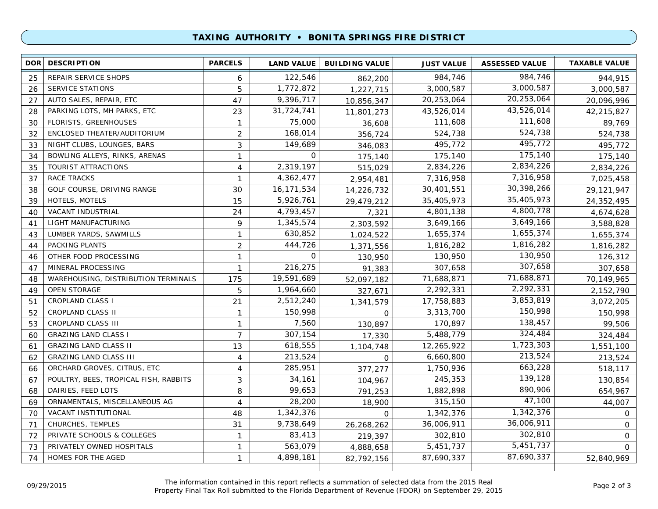## **TAXING AUTHORITY • BONITA SPRINGS FIRE DISTRICT**

| <b>DOR</b> | <b>DESCRIPTION</b>                    | <b>PARCELS</b> | <b>LAND VALUE</b> | <b>BUILDING VALUE</b> | <b>JUST VALUE</b> | <b>ASSESSED VALUE</b> | <b>TAXABLE VALUE</b> |
|------------|---------------------------------------|----------------|-------------------|-----------------------|-------------------|-----------------------|----------------------|
| 25         | REPAIR SERVICE SHOPS                  | 6              | 122,546           | 862,200               | 984,746           | 984,746               | 944,915              |
| 26         | SERVICE STATIONS                      | 5              | 1,772,872         | 1,227,715             | 3,000,587         | 3,000,587             | 3,000,587            |
| 27         | AUTO SALES, REPAIR, ETC               | 47             | 9,396,717         | 10,856,347            | 20,253,064        | 20,253,064            | 20,096,996           |
| 28         | PARKING LOTS, MH PARKS, ETC           | 23             | 31,724,741        | 11,801,273            | 43,526,014        | 43,526,014            | 42,215,827           |
| 30         | FLORISTS, GREENHOUSES                 | $\mathbf{1}$   | 75,000            | 36,608                | 111,608           | 111,608               | 89,769               |
| 32         | ENCLOSED THEATER/AUDITORIUM           | $\overline{2}$ | 168,014           | 356,724               | 524,738           | 524,738               | 524,738              |
| 33         | NIGHT CLUBS, LOUNGES, BARS            | 3              | 149,689           | 346,083               | 495,772           | 495,772               | 495,772              |
| 34         | BOWLING ALLEYS, RINKS, ARENAS         | $\mathbf{1}$   | 0                 | 175,140               | 175,140           | 175,140               | 175,140              |
| 35         | TOURIST ATTRACTIONS                   | $\overline{4}$ | 2,319,197         | 515,029               | 2,834,226         | 2,834,226             | 2,834,226            |
| 37         | <b>RACE TRACKS</b>                    | $\mathbf{1}$   | 4,362,477         | 2,954,481             | 7,316,958         | 7,316,958             | 7,025,458            |
| 38         | GOLF COURSE, DRIVING RANGE            | 30             | 16,171,534        | 14,226,732            | 30,401,551        | 30,398,266            | 29,121,947           |
| 39         | HOTELS, MOTELS                        | 15             | 5,926,761         | 29,479,212            | 35,405,973        | 35,405,973            | 24,352,495           |
| 40         | VACANT INDUSTRIAL                     | 24             | 4,793,457         | 7,321                 | 4,801,138         | 4,800,778             | 4,674,628            |
| 41         | LIGHT MANUFACTURING                   | 9              | 1,345,574         | 2,303,592             | 3,649,166         | 3,649,166             | 3,588,828            |
| 43         | LUMBER YARDS, SAWMILLS                | $\mathbf{1}$   | 630,852           | 1,024,522             | 1,655,374         | 1,655,374             | 1,655,374            |
| 44         | PACKING PLANTS                        | 2              | 444,726           | 1,371,556             | 1,816,282         | 1,816,282             | 1,816,282            |
| 46         | OTHER FOOD PROCESSING                 | $\mathbf{1}$   | 0                 | 130,950               | 130,950           | 130,950               | 126,312              |
| 47         | MINERAL PROCESSING                    | 1              | 216,275           | 91,383                | 307,658           | 307,658               | 307,658              |
| 48         | WAREHOUSING, DISTRIBUTION TERMINALS   | 175            | 19,591,689        | 52,097,182            | 71,688,871        | 71,688,871            | 70,149,965           |
| 49         | <b>OPEN STORAGE</b>                   | 5              | 1,964,660         | 327,671               | 2,292,331         | 2,292,331             | 2,152,790            |
| 51         | <b>CROPLAND CLASS I</b>               | 21             | 2,512,240         | 1,341,579             | 17,758,883        | 3,853,819             | 3,072,205            |
| 52         | CROPLAND CLASS II                     | $\mathbf{1}$   | 150,998           | 0                     | 3,313,700         | 150,998               | 150,998              |
| 53         | CROPLAND CLASS III                    | $\mathbf{1}$   | 7,560             | 130,897               | 170,897           | 138,457               | 99,506               |
| 60         | <b>GRAZING LAND CLASS I</b>           | $\overline{7}$ | 307,154           | 17,330                | 5,488,779         | 324,484               | 324,484              |
| 61         | <b>GRAZING LAND CLASS II</b>          | 13             | 618,555           | 1,104,748             | 12,265,922        | 1,723,303             | 1,551,100            |
| 62         | <b>GRAZING LAND CLASS III</b>         | $\overline{4}$ | 213,524           | $\Omega$              | 6,660,800         | 213,524               | 213,524              |
| 66         | ORCHARD GROVES, CITRUS, ETC           | 4              | 285,951           | 377,277               | 1,750,936         | 663,228               | 518,117              |
| 67         | POULTRY, BEES, TROPICAL FISH, RABBITS | 3              | 34,161            | 104,967               | 245,353           | 139,128               | 130,854              |
| 68         | DAIRIES, FEED LOTS                    | 8              | 99,653            | 791,253               | 1,882,898         | 890,906               | 654,967              |
| 69         | ORNAMENTALS, MISCELLANEOUS AG         | 4              | 28,200            | 18,900                | 315,150           | 47,100                | 44,007               |
| 70         | VACANT INSTITUTIONAL                  | 48             | 1,342,376         | $\Omega$              | 1,342,376         | 1,342,376             | 0                    |
| 71         | CHURCHES, TEMPLES                     | 31             | 9,738,649         | 26,268,262            | 36,006,911        | 36,006,911            | $\mathbf 0$          |
| 72         | PRIVATE SCHOOLS & COLLEGES            | $\mathbf{1}$   | 83,413            | 219,397               | 302,810           | 302,810               | $\mathsf{O}$         |
| 73         | PRIVATELY OWNED HOSPITALS             | 1              | 563,079           | 4,888,658             | 5,451,737         | 5,451,737             | $\Omega$             |
| 74         | HOMES FOR THE AGED                    | 1              | 4,898,181         | 82,792,156            | 87,690,337        | 87,690,337            | 52,840,969           |
|            |                                       |                |                   |                       |                   |                       |                      |

The information contained in this report reflects a summation of selected data from the 2015 Real Property Final Tax Roll submitted to the Florida Department of Revenue (FDOR) on September 29, 2015 09/29/2015 Page 2 of 3